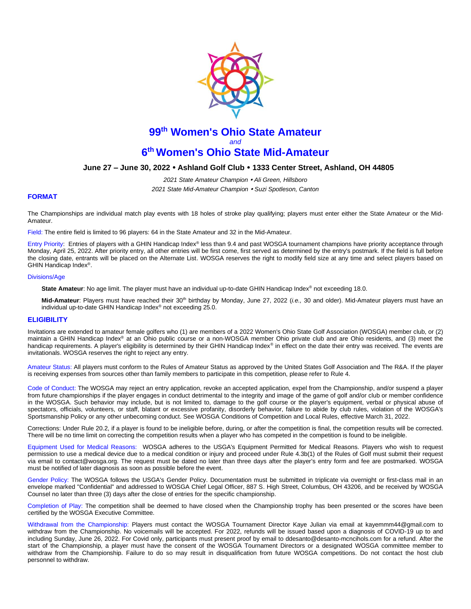

# **99 th Women's Ohio State Amateur**  *and* **6 th Women's Ohio State Mid-Amateur**

## **June 27 – June 30, 2022 Ashland Golf Club 1333 Center Street, Ashland, OH 44805**

*2021 State Amateur Champion Ali Green, Hillsboro 2021 State Mid-Amateur Champion Suzi Spotleson, Canton*

#### **FORMAT**

The Championships are individual match play events with 18 holes of stroke play qualifying; players must enter either the State Amateur or the Mid-Amateur.

Field: The entire field is limited to 96 players: 64 in the State Amateur and 32 in the Mid-Amateur.

Entry Priority: Entries of players with a GHIN Handicap Index® less than 9.4 and past WOSGA tournament champions have priority acceptance through Monday, April 25, 2022. After priority entry, all other entries will be first come, first served as determined by the entry's postmark. If the field is full before the closing date, entrants will be placed on the Alternate List. WOSGA reserves the right to modify field size at any time and select players based on GHIN Handicap Index® .

#### Divisions/Age

**State Amateur**: No age limit. The player must have an individual up-to-date GHIN Handicap Index<sup>®</sup> not exceeding 18.0.

Mid-Amateur: Players must have reached their 30<sup>th</sup> birthday by Monday, June 27, 2022 (*i.e.*, 30 and older). Mid-Amateur players must have an individual up-to-date GHIN Handicap Index® not exceeding 25.0.

#### **ELIGIBILITY**

Invitations are extended to amateur female golfers who (1) are members of a 2022 Women's Ohio State Golf Association (WOSGA) member club, or (2) maintain a GHIN Handicap Index® at an Ohio public course or a non-WOSGA member Ohio private club and are Ohio residents, and (3) meet the handicap requirements. A player's eligibility is determined by their GHIN Handicap Index® in effect on the date their entry was received. The events are invitationals. WOSGA reserves the right to reject any entry.

Amateur Status: All players must conform to the [Rules of Amateur Status](https://www.usga.org/rules/rules-of-amateur-status.html#!rule-01) as approved by the United States Golf Association and The R&A. If the player is receiving expenses from sources other than family members to participate in this competition, please refer to [Rule 4.](https://www.usga.org/rules/rules-of-amateur-status.html#!rule-04)

Code of Conduct: The WOSGA may reject an entry application, revoke an accepted application, expel from the Championship, and/or suspend a player from future championships if the player engages in conduct detrimental to the integrity and image of the game of golf and/or club or member confidence in the WOSGA. Such behavior may include, but is not limited to, damage to the golf course or the player's equipment, verbal or physical abuse of spectators, officials, volunteers, or staff, blatant or excessive profanity, disorderly behavior, failure to abide by club rules, violation of the WOSGA's Sportsmanship Policy or any other unbecoming conduct. See WOSGA Conditions of Competition and Local Rules, effective March 31, 2022.

Corrections: Unde[r Rule 20.2,](https://www.usga.org/content/usga/home-page/rules/rules-2019/rules-of-golf/rule-20.html#:~:text=A%20player%20who%20is%20uncertain%20about%20the%20right%20procedure%20while,Continued).) if a player is found to be ineligible before, during, or after the competition is final, the competition results will be corrected. There will be no time limit on correcting the competition results when a player who has competed in the competition is found to be ineligible.

Equipment Used for Medical Reasons: WOSGA adheres to the USGA's Equipment Permitted for Medical Reasons. Players who wish to request permission to use a medical device due to a medical condition or injury and proceed under Rule 4.3b(1) of the Rules of Golf must submit their request via email to [contact@wosga.org.](mailto:contact@wosga.org.The) The request must be dated no later than three days after the player's entry form and fee are postmarked. WOSGA must be notified of later diagnosis as soon as possible before the event.

Gender Policy: The WOSGA follows the [USGA's Gender Policy.](https://www.usga.org/genderpolicy.html#:~:text=In%20any%20USGA%20championship%20in,person%20of%20that%20particular%20gender.) Documentation must be submitted in triplicate via overnight or first-class mail in an envelope marked "Confidential" and addressed to WOSGA Chief Legal Officer, 887 S. High Street, Columbus, OH 43206, and be received by WOSGA Counsel no later than three (3) days after the close of entries for the specific championship.

Completion of Play: The competition shall be deemed to have closed when the Championship trophy has been presented or the scores have been certified by the WOSGA Executive Committee.

Withdrawal from the Championship: Players must contact the WOSGA Tournament Director Kaye Julian via email at kayemmm44@gmail.com to withdraw from the Championship. No voicemails will be accepted. For 2022, refunds will be issued based upon a diagnosis of COVID-19 up to and including Sunday, June 26, 2022. For Covid only, participants must present proof by email to ddesanto@desanto-mcncihols.com for a refund. After the start of the Championship, a player must have the consent of the WOSGA Tournament Directors or a designated WOSGA committee member to withdraw from the Championship. Failure to do so may result in disqualification from future WOSGA competitions. Do not contact the host club personnel to withdraw.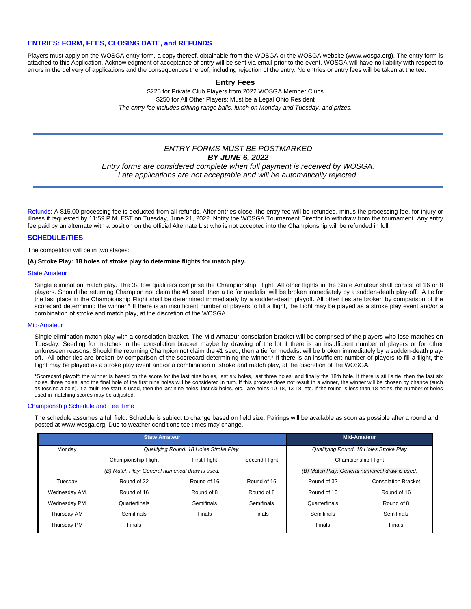## **ENTRIES: FORM, FEES, CLOSING DATE, and REFUNDS**

Players must apply on the WOSGA entry form, a copy thereof, obtainable from the WOSGA or the WOSGA website (www.wosga.org). The entry form is attached to this Application. Acknowledgment of acceptance of entry will be sent via email prior to the event. WOSGA will have no liability with respect to errors in the delivery of applications and the consequences thereof, including rejection of the entry. No entries or entry fees will be taken at the tee.

### **Entry Fees**

\$225 for Private Club Players from 2022 WOSGA Member Clubs \$250 for All Other Players; Must be a Legal Ohio Resident *The entry fee includes driving range balls, lunch on Monday and Tuesday, and prizes.*

## *ENTRY FORMS MUST BE POSTMARKED BY JUNE 6, 2022*

*Entry forms are considered complete when full payment is received by WOSGA. Late applications are not acceptable and will be automatically rejected.*

Refunds: A \$15.00 processing fee is deducted from all refunds. After entries close, the entry fee will be refunded, minus the processing fee, for injury or illness if requested by 11:59 P.M. EST on Tuesday, June 21, 2022. Notify the WOSGA Tournament Director to withdraw from the tournament. Any entry fee paid by an alternate with a position on the official Alternate List who is not accepted into the Championship will be refunded in full.

#### **SCHEDULE/TIES**

The competition will be in two stages:

#### **(A) Stroke Play: 18 holes of stroke play to determine flights for match play.**

#### State Amateur

Single elimination match play. The 32 low qualifiers comprise the Championship Flight. All other flights in the State Amateur shall consist of 16 or 8 players. Should the returning Champion not claim the #1 seed, then a tie for medalist will be broken immediately by a sudden-death play-off. A tie for the last place in the Championship Flight shall be determined immediately by a sudden-death playoff. All other ties are broken by comparison of the scorecard determining the winner.\* If there is an insufficient number of players to fill a flight, the flight may be played as a stroke play event and/or a combination of stroke and match play, at the discretion of the WOSGA.

#### Mid-Amateur

Single elimination match play with a consolation bracket. The Mid-Amateur consolation bracket will be comprised of the players who lose matches on Tuesday. Seeding for matches in the consolation bracket maybe by drawing of the lot if there is an insufficient number of players or for other unforeseen reasons. Should the returning Champion not claim the #1 seed, then a tie for medalist will be broken immediately by a sudden-death playoff. All other ties are broken by comparison of the scorecard determining the winner.\* If there is an insufficient number of players to fill a flight, the flight may be played as a stroke play event and/or a combination of stroke and match play, at the discretion of the WOSGA.

\*Scorecard playoff: the winner is based on the score for the last nine holes, last six holes, last three holes, and finally the 18th hole. If there is still a tie, then the last six holes, three holes, and the final hole of the first nine holes will be considered in turn. If this process does not result in a winner, the winner will be chosen by chance (such as tossing a coin). If a multi-tee start is used, then the last nine holes, last six holes, etc." are holes 10-18, 13-18, etc. If the round is less than 18 holes, the number of holes used in matching scores may be adjusted.

#### Championship Schedule and Tee Time

The schedule assumes a full field. Schedule is subject to change based on field size. Pairings will be available as soon as possible after a round and posted at www.wosga.org. Due to weather conditions tee times may change.

| <b>State Amateur</b>                            |                                        |                     |                                                 | <b>Mid-Amateur</b>                     |                            |
|-------------------------------------------------|----------------------------------------|---------------------|-------------------------------------------------|----------------------------------------|----------------------------|
| Monday                                          | Qualifying Round. 18 Holes Stroke Play |                     |                                                 | Qualifying Round. 18 Holes Stroke Play |                            |
|                                                 | Championship Flight                    | <b>First Flight</b> | Second Flight                                   | Championship Flight                    |                            |
| (B) Match Play: General numerical draw is used. |                                        |                     | (B) Match Play: General numerical draw is used. |                                        |                            |
| Tuesday                                         | Round of 32                            | Round of 16         | Round of 16                                     | Round of 32                            | <b>Consolation Bracket</b> |
| Wednesday AM                                    | Round of 16                            | Round of 8          | Round of 8                                      | Round of 16                            | Round of 16                |
| Wednesday PM                                    | Quarterfinals                          | Semifinals          | <b>Semifinals</b>                               | Quarterfinals                          | Round of 8                 |
| Thursday AM                                     | <b>Semifinals</b>                      | Finals              | <b>Finals</b>                                   | Semifinals                             | Semifinals                 |
| Thursday PM                                     | Finals                                 |                     |                                                 | Finals                                 | <b>Finals</b>              |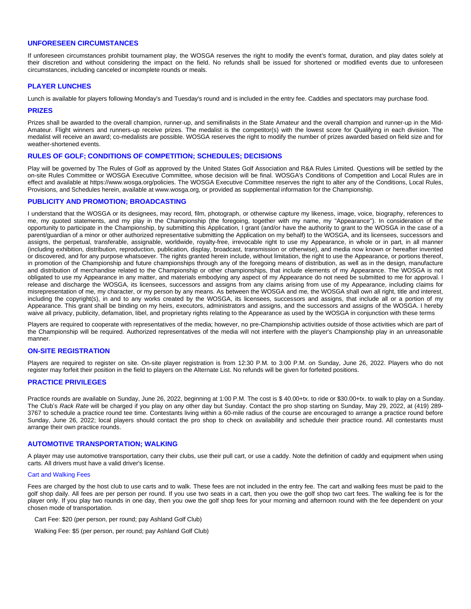## **UNFORESEEN CIRCUMSTANCES**

If unforeseen circumstances prohibit tournament play, the WOSGA reserves the right to modify the event's format, duration, and play dates solely at their discretion and without considering the impact on the field. No refunds shall be issued for shortened or modified events due to unforeseen circumstances, including canceled or incomplete rounds or meals.

## **PLAYER LUNCHES**

Lunch is available for players following Monday's and Tuesday's round and is included in the entry fee. Caddies and spectators may purchase food.

#### **PRIZES**

Prizes shall be awarded to the overall champion, runner-up, and semifinalists in the State Amateur and the overall champion and runner-up in the Mid-Amateur. Flight winners and runners-up receive prizes. The medalist is the competitor(s) with the lowest score for Qualifying in each division. The medalist will receive an award; co-medalists are possible. WOSGA reserves the right to modify the number of prizes awarded based on field size and for weather-shortened events.

#### **RULES OF GOLF; CONDITIONS OF COMPETITION; SCHEDULES; DECISIONS**

Play will be governed by The Rules of Golf as approved by the United States Golf Association and R&A Rules Limited. Questions will be settled by the on-site Rules Committee or WOSGA Executive Committee, whose decision will be final. WOSGA's Conditions of Competition and Local Rules are in effect and available at https://www.wosga.org/policies. The WOSGA Executive Committee reserves the right to alter any of the Conditions, Local Rules, Provisions, and Schedules herein, available at www.wosga.org, or provided as supplemental information for the Championship.

#### **PUBLICITY AND PROMOTION; BROADCASTING**

I understand that the WOSGA or its designees, may record, film, photograph, or otherwise capture my likeness, image, voice, biography, references to me, my quoted statements, and my play in the Championship (the foregoing, together with my name, my "Appearance"). In consideration of the opportunity to participate in the Championship, by submitting this Application, I grant (and/or have the authority to grant to the WOSGA in the case of a parent/guardian of a minor or other authorized representative submitting the Application on my behalf) to the WOSGA, and its licensees, successors and assigns, the perpetual, transferable, assignable, worldwide, royalty-free, irrevocable right to use my Appearance, in whole or in part, in all manner (including exhibition, distribution, reproduction, publication, display, broadcast, transmission or otherwise), and media now known or hereafter invented or discovered, and for any purpose whatsoever. The rights granted herein include, without limitation, the right to use the Appearance, or portions thereof, in promotion of the Championship and future championships through any of the foregoing means of distribution, as well as in the design, manufacture and distribution of merchandise related to the Championship or other championships, that include elements of my Appearance. The WOSGA is not obligated to use my Appearance in any matter, and materials embodying any aspect of my Appearance do not need be submitted to me for approval. I release and discharge the WOSGA, its licensees, successors and assigns from any claims arising from use of my Appearance, including claims for misrepresentation of me, my character, or my person by any means. As between the WOSGA and me, the WOSGA shall own all right, title and interest, including the copyright(s), in and to any works created by the WOSGA, its licensees, successors and assigns, that include all or a portion of my Appearance. This grant shall be binding on my heirs, executors, administrators and assigns, and the successors and assigns of the WOSGA. I hereby waive all privacy, publicity, defamation, libel, and proprietary rights relating to the Appearance as used by the WOSGA in conjunction with these terms

Players are required to cooperate with representatives of the media; however, no pre-Championship activities outside of those activities which are part of the Championship will be required. Authorized representatives of the media will not interfere with the player's Championship play in an unreasonable manner.

#### **ON-SITE REGISTRATION**

Players are required to register on site. On-site player registration is from 12:30 P.M. to 3:00 P.M. on Sunday, June 26, 2022. Players who do not register may forfeit their position in the field to players on the Alternate List. No refunds will be given for forfeited positions.

### **PRACTICE PRIVILEGES**

Practice rounds are available on Sunday, June 26, 2022, beginning at 1:00 P.M. The cost is \$ 40.00+tx. to ride or \$30.00+tx. to walk to play on a Sunday. The Club's *Rack Rate* will be charged if you play on any other day but Sunday. Contact the pro shop starting on Sunday, May 29, 2022, at (419) 289- 3767 to schedule a practice round tee time. Contestants living within a 60-mile radius of the course are encouraged to arrange a practice round before Sunday, June 26, 2022; local players should contact the pro shop to check on availability and schedule their practice round. All contestants must arrange their own practice rounds.

#### **AUTOMOTIVE TRANSPORTATION; WALKING**

A player may use automotive transportation, carry their clubs, use their pull cart, or use a caddy. Note the definition of caddy and equipment when using carts. All drivers must have a valid driver's license.

#### Cart and Walking Fees

Fees are charged by the host club to use carts and to walk. These fees are not included in the entry fee. The cart and walking fees must be paid to the golf shop daily. All fees are per person per round. If you use two seats in a cart, then you owe the golf shop two cart fees. The walking fee is for the player only. If you play two rounds in one day, then you owe the golf shop fees for your morning and afternoon round with the fee dependent on your chosen mode of transportation.

Cart Fee: \$20 (per person, per round; pay Ashland Golf Club)

Walking Fee: \$5 (per person, per round; pay Ashland Golf Club)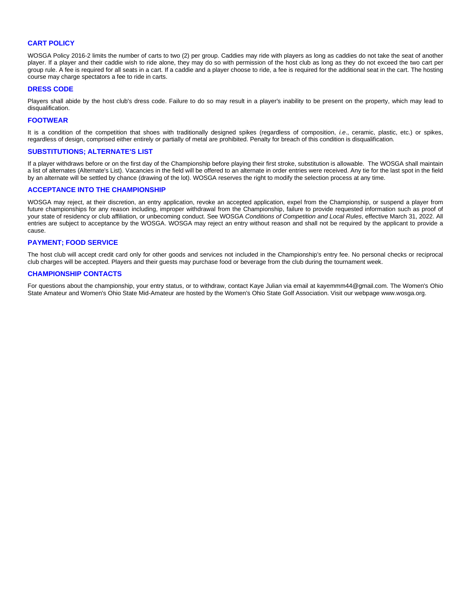## **CART POLICY**

WOSGA Policy 2016-2 limits the number of carts to two (2) per group. Caddies may ride with players as long as caddies do not take the seat of another player. If a player and their caddie wish to ride alone, they may do so with permission of the host club as long as they do not exceed the two cart per group rule. A fee is required for all seats in a cart. If a caddie and a player choose to ride, a fee is required for the additional seat in the cart. The hosting course may charge spectators a fee to ride in carts.

#### **DRESS CODE**

Players shall abide by the host club's dress code. Failure to do so may result in a player's inability to be present on the property, which may lead to disqualification.

#### **FOOTWEAR**

It is a condition of the competition that shoes with traditionally designed spikes (regardless of composition, *i.e*., ceramic, plastic, etc.) or spikes, regardless of design, comprised either entirely or partially of metal are prohibited. Penalty for breach of this condition is disqualification.

#### **SUBSTITUTIONS; ALTERNATE'S LIST**

If a player withdraws before or on the first day of the Championship before playing their first stroke, substitution is allowable. The WOSGA shall maintain a list of alternates (Alternate's List). Vacancies in the field will be offered to an alternate in order entries were received. Any tie for the last spot in the field by an alternate will be settled by chance (drawing of the lot). WOSGA reserves the right to modify the selection process at any time.

#### **ACCEPTANCE INTO THE CHAMPIONSHIP**

WOSGA may reject, at their discretion, an entry application, revoke an accepted application, expel from the Championship, or suspend a player from future championships for any reason including, improper withdrawal from the Championship, failure to provide requested information such as proof of your state of residency or club affiliation, or unbecoming conduct. See WOSGA *Conditions of Competition and Local Rules*, effective March 31, 2022. All entries are subject to acceptance by the WOSGA. WOSGA may reject an entry without reason and shall not be required by the applicant to provide a cause.

#### **PAYMENT; FOOD SERVICE**

The host club will accept credit card only for other goods and services not included in the Championship's entry fee. No personal checks or reciprocal club charges will be accepted. Players and their guests may purchase food or beverage from the club during the tournament week.

#### **CHAMPIONSHIP CONTACTS**

For questions about the championship, your entry status, or to withdraw, contact Kaye Julian via email at kayemmm44@gmail.com. The Women's Ohio State Amateur and Women's Ohio State Mid-Amateur are hosted by the Women's Ohio State Golf Association. Visit our webpage www.wosga.org.